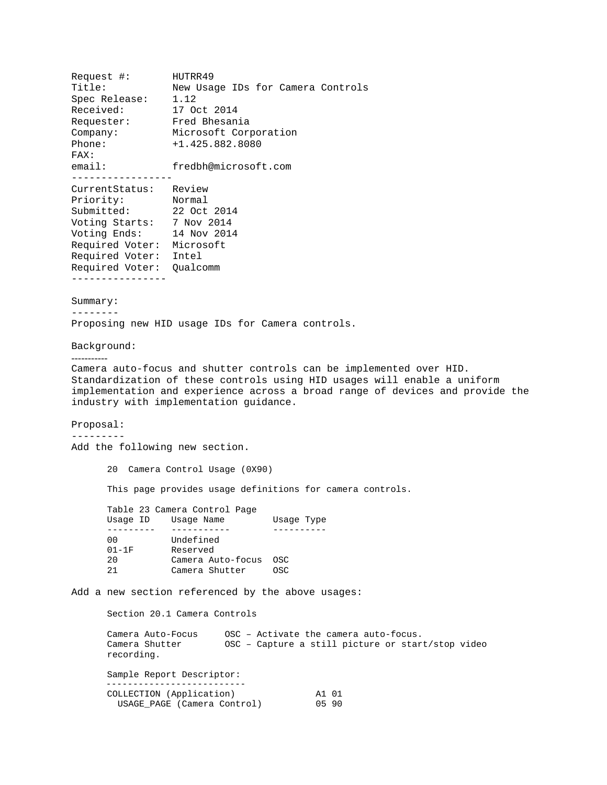Request #: HUTRR49 Title: New Usage IDs for Camera Controls Spec Release: 1.12 Received: 17 Oct 2014 Requester: Fred Bhesania Company: Microsoft Corporation Phone: +1.425.882.8080 FAX: email: fredbh@microsoft.com ----------------- CurrentStatus: Review Priority: Normal Submitted: 22 Oct 2014 Voting Starts: 7 Nov 2014 Voting Ends: 14 Nov 2014 Required Voter: Microsoft Required Voter: Intel Required Voter: Qualcomm ---------------- Summary: -------- Proposing new HID usage IDs for Camera controls. Background: ----------- Camera auto-focus and shutter controls can be implemented over HID. Standardization of these controls using HID usages will enable a uniform implementation and experience across a broad range of devices and provide the industry with implementation guidance. Proposal: --------- Add the following new section. 20 Camera Control Usage (0X90) This page provides usage definitions for camera controls. Table 23 Camera Control Page Usage ID Usage Name Usage Type ---------- ------------ ----------<br>00 Undefined 00 Undefined<br>01-1F Reserved 01-1F Reserved<br>20 Camera Au Camera Auto-focus OSC 21 Camera Shutter OSC Add a new section referenced by the above usages: Section 20.1 Camera Controls Camera Auto-Focus OSC – Activate the camera auto-focus. Camera Shutter 0SC - Capture a still picture or start/stop video recording. Sample Report Descriptor: -------------------------- COLLECTION (Application) A1 01<br>USAGE\_PAGE (Camera Control) 05 90 USAGE\_PAGE (Camera Control)